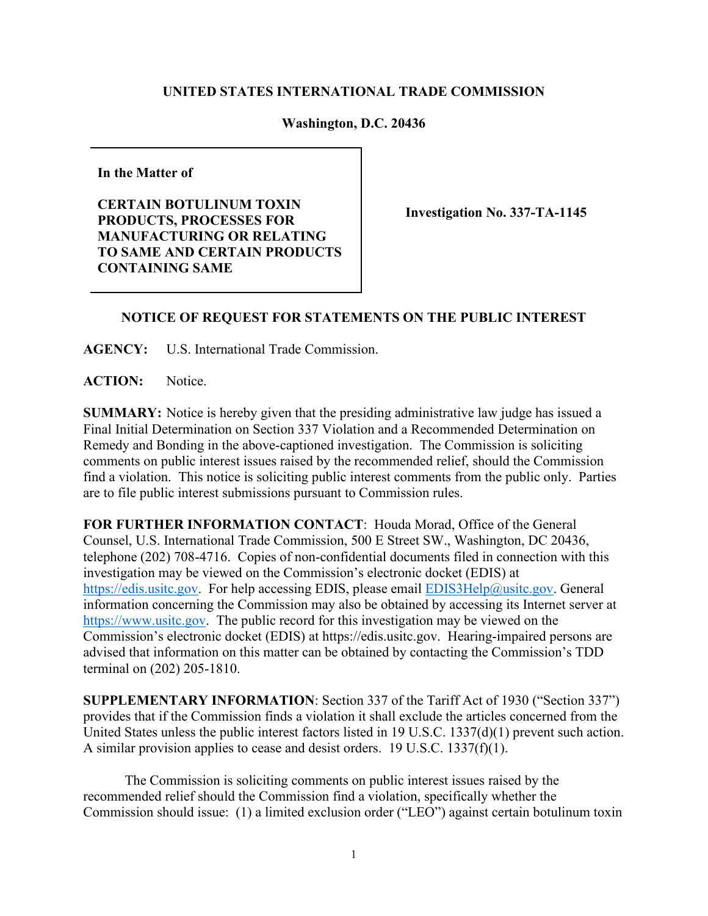## **UNITED STATES INTERNATIONAL TRADE COMMISSION**

## **Washington, D.C. 20436**

**In the Matter of** 

**CERTAIN BOTULINUM TOXIN PRODUCTS, PROCESSES FOR MANUFACTURING OR RELATING TO SAME AND CERTAIN PRODUCTS CONTAINING SAME**

**Investigation No. 337-TA-1145**

## **NOTICE OF REQUEST FOR STATEMENTS ON THE PUBLIC INTEREST**

**AGENCY:** U.S. International Trade Commission.

ACTION: Notice.

**SUMMARY:** Notice is hereby given that the presiding administrative law judge has issued a Final Initial Determination on Section 337 Violation and a Recommended Determination on Remedy and Bonding in the above-captioned investigation. The Commission is soliciting comments on public interest issues raised by the recommended relief, should the Commission find a violation. This notice is soliciting public interest comments from the public only. Parties are to file public interest submissions pursuant to Commission rules.

**FOR FURTHER INFORMATION CONTACT**: Houda Morad, Office of the General Counsel, U.S. International Trade Commission, 500 E Street SW., Washington, DC 20436, telephone (202) 708-4716. Copies of non-confidential documents filed in connection with this investigation may be viewed on the Commission's electronic docket (EDIS) at [https://edis.usitc.gov.](https://edis.usitc.gov/) For help accessing EDIS, please email [EDIS3Help@usitc.gov.](mailto:EDIS3Help@usitc.gov) General information concerning the Commission may also be obtained by accessing its Internet server at [https://www.usitc.gov.](https://www.usitc.gov/) The public record for this investigation may be viewed on the Commission's electronic docket (EDIS) at https://edis.usitc.gov. Hearing-impaired persons are advised that information on this matter can be obtained by contacting the Commission's TDD terminal on (202) 205-1810.

**SUPPLEMENTARY INFORMATION**: Section 337 of the Tariff Act of 1930 ("Section 337") provides that if the Commission finds a violation it shall exclude the articles concerned from the United States unless the public interest factors listed in 19 U.S.C. 1337(d)(1) prevent such action. A similar provision applies to cease and desist orders. 19 U.S.C. 1337(f)(1).

The Commission is soliciting comments on public interest issues raised by the recommended relief should the Commission find a violation, specifically whether the Commission should issue: (1) a limited exclusion order ("LEO") against certain botulinum toxin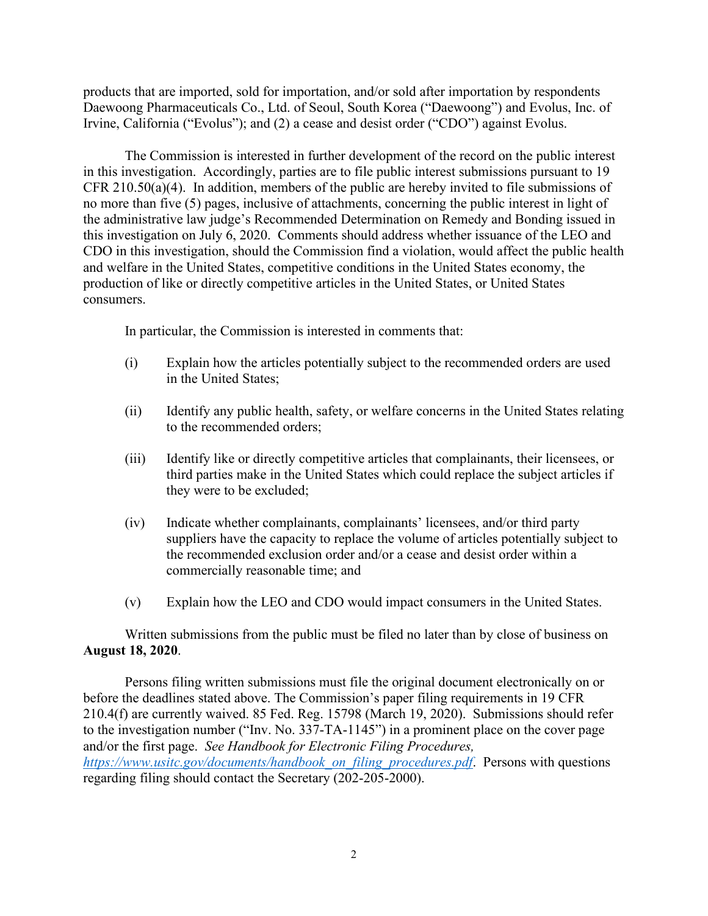products that are imported, sold for importation, and/or sold after importation by respondents Daewoong Pharmaceuticals Co., Ltd. of Seoul, South Korea ("Daewoong") and Evolus, Inc. of Irvine, California ("Evolus"); and (2) a cease and desist order ("CDO") against Evolus.

The Commission is interested in further development of the record on the public interest in this investigation. Accordingly, parties are to file public interest submissions pursuant to 19 CFR 210.50(a)(4). In addition, members of the public are hereby invited to file submissions of no more than five (5) pages, inclusive of attachments, concerning the public interest in light of the administrative law judge's Recommended Determination on Remedy and Bonding issued in this investigation on July 6, 2020. Comments should address whether issuance of the LEO and CDO in this investigation, should the Commission find a violation, would affect the public health and welfare in the United States, competitive conditions in the United States economy, the production of like or directly competitive articles in the United States, or United States consumers.

In particular, the Commission is interested in comments that:

- (i) Explain how the articles potentially subject to the recommended orders are used in the United States;
- (ii) Identify any public health, safety, or welfare concerns in the United States relating to the recommended orders;
- (iii) Identify like or directly competitive articles that complainants, their licensees, or third parties make in the United States which could replace the subject articles if they were to be excluded;
- (iv) Indicate whether complainants, complainants' licensees, and/or third party suppliers have the capacity to replace the volume of articles potentially subject to the recommended exclusion order and/or a cease and desist order within a commercially reasonable time; and
- (v) Explain how the LEO and CDO would impact consumers in the United States.

Written submissions from the public must be filed no later than by close of business on **August 18, 2020**.

Persons filing written submissions must file the original document electronically on or before the deadlines stated above. The Commission's paper filing requirements in 19 CFR 210.4(f) are currently waived. 85 Fed. Reg. 15798 (March 19, 2020). Submissions should refer to the investigation number ("Inv. No. 337-TA-1145") in a prominent place on the cover page and/or the first page. *See Handbook for Electronic Filing Procedures, [https://www.usitc.gov/documents/handbook\\_on\\_filing\\_procedures.pdf](https://www.usitc.gov/documents/handbook_on_filing_procedures.pdf)*. Persons with questions regarding filing should contact the Secretary (202-205-2000).